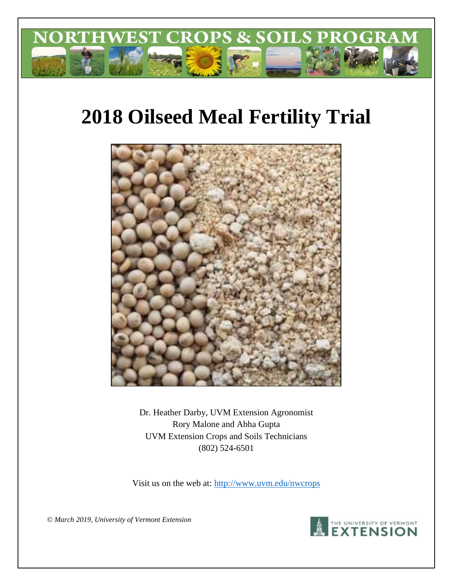

# **2018 Oilseed Meal Fertility Trial**



Dr. Heather Darby, UVM Extension Agronomist Rory Malone and Abha Gupta UVM Extension Crops and Soils Technicians (802) 524-6501

Visit us on the web at:<http://www.uvm.edu/nwcrops>

*© March 2019, University of Vermont Extension* 

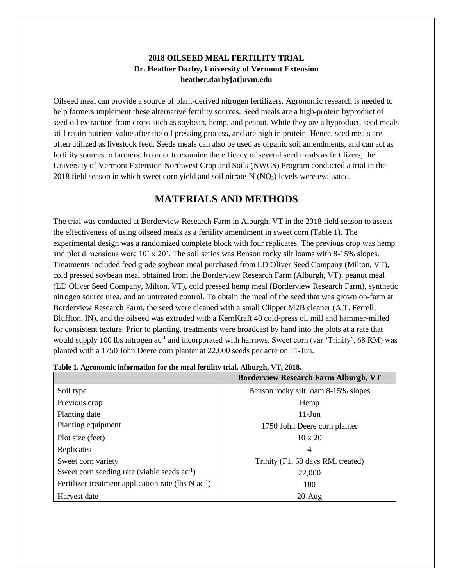## **2018 OILSEED MEAL FERTILITY TRIAL Dr. Heather Darby, University of Vermont Extension heather.darby[at]uvm.edu**

Oilseed meal can provide a source of plant-derived nitrogen fertilizers. Agronomic research is needed to help farmers implement these alternative fertility sources. Seed meals are a high-protein byproduct of seed oil extraction from crops such as soybean, hemp, and peanut. While they are a byproduct, seed meals still retain nutrient value after the oil pressing process, and are high in protein. Hence, seed meals are often utilized as livestock feed. Seeds meals can also be used as organic soil amendments, and can act as fertility sources to farmers. In order to examine the efficacy of several seed meals as fertilizers, the University of Vermont Extension Northwest Crop and Soils (NWCS) Program conducted a trial in the 2018 field season in which sweet corn yield and soil nitrate-N  $(NO<sub>3</sub>)$  levels were evaluated.

## **MATERIALS AND METHODS**

The trial was conducted at Borderview Research Farm in Alburgh, VT in the 2018 field season to assess the effectiveness of using oilseed meals as a fertility amendment in sweet corn (Table 1). The experimental design was a randomized complete block with four replicates. The previous crop was hemp and plot dimensions were 10' x 20'. The soil series was Benson rocky silt loams with 8-15% slopes. Treatments included feed grade soybean meal purchased from LD Oliver Seed Company (Milton, VT), cold pressed soybean meal obtained from the Borderview Research Farm (Alburgh, VT), peanut meal (LD Oliver Seed Company, Milton, VT), cold pressed hemp meal (Borderview Research Farm), synthetic nitrogen source urea, and an untreated control. To obtain the meal of the seed that was grown on-farm at Borderview Research Farm, the seed were cleaned with a small Clipper M2B cleaner (A.T. Ferrell, Bluffton, IN), and the oilseed was extruded with a KernKraft 40 cold-press oil mill and hammer-milled for consistent texture. Prior to planting, treatments were broadcast by hand into the plots at a rate that would supply 100 lbs nitrogen ac<sup>-1</sup> and incorporated with harrows. Sweet corn (var 'Trinity', 68 RM) was planted with a 1750 John Deere corn planter at 22,000 seeds per acre on 11-Jun.

| Table 1. Agronomic miorination for the meat fertility trial, Abourgil, y 1, 2010. | <b>Borderview Research Farm Alburgh, VT</b> |
|-----------------------------------------------------------------------------------|---------------------------------------------|
| Soil type                                                                         | Benson rocky silt loam 8-15% slopes         |
| Previous crop                                                                     | Hemp                                        |
| Planting date                                                                     | $11$ -Jun                                   |
| Planting equipment                                                                | 1750 John Deere corn planter                |
| Plot size (feet)                                                                  | $10 \times 20$                              |
| Replicates                                                                        | 4                                           |
| Sweet corn variety                                                                | Trinity (F1, 68 days RM, treated)           |
| Sweet corn seeding rate (viable seeds $ac^{-1}$ )                                 | 22,000                                      |
| Fertilizer treatment application rate (lbs $N$ ac <sup>-1</sup> )                 | 100                                         |
| Harvest date                                                                      | $20-Aug$                                    |

| Table 1. Agronomic information for the meal fertility trial, Alburgh, VT, 2018. |  |  |
|---------------------------------------------------------------------------------|--|--|
|---------------------------------------------------------------------------------|--|--|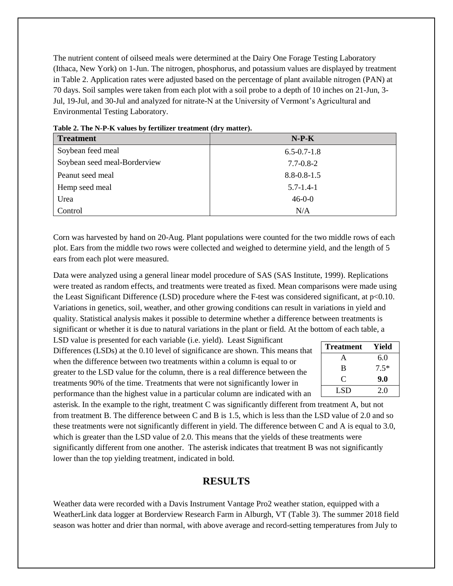The nutrient content of oilseed meals were determined at the Dairy One Forage Testing Laboratory (Ithaca, New York) on 1-Jun. The nitrogen, phosphorus, and potassium values are displayed by treatment in Table 2. Application rates were adjusted based on the percentage of plant available nitrogen (PAN) at 70 days. Soil samples were taken from each plot with a soil probe to a depth of 10 inches on 21-Jun, 3- Jul, 19-Jul, and 30-Jul and analyzed for nitrate-N at the University of Vermont's Agricultural and Environmental Testing Laboratory.

| Table 2. The $N-1$ -ix values by ferther the difficult (ury matter).<br><b>Treatment</b> | $N-P-K$           |
|------------------------------------------------------------------------------------------|-------------------|
| Soybean feed meal                                                                        | $6.5 - 0.7 - 1.8$ |
| Soybean seed meal-Borderview                                                             | $7.7 - 0.8 - 2$   |
| Peanut seed meal                                                                         | $8.8 - 0.8 - 1.5$ |
| Hemp seed meal                                                                           | $5.7 - 1.4 - 1$   |
| Urea                                                                                     | $46 - 0 - 0$      |
| Control                                                                                  | N/A               |

**Table 2. The N-P-K values by fertilizer treatment (dry matter).** 

Corn was harvested by hand on 20-Aug. Plant populations were counted for the two middle rows of each plot. Ears from the middle two rows were collected and weighed to determine yield, and the length of 5 ears from each plot were measured.

Data were analyzed using a general linear model procedure of SAS (SAS Institute, 1999). Replications were treated as random effects, and treatments were treated as fixed. Mean comparisons were made using the Least Significant Difference (LSD) procedure where the F-test was considered significant, at p<0.10. Variations in genetics, soil, weather, and other growing conditions can result in variations in yield and quality. Statistical analysis makes it possible to determine whether a difference between treatments is significant or whether it is due to natural variations in the plant or field. At the bottom of each table, a

LSD value is presented for each variable (i.e. yield). Least Significant Differences (LSDs) at the 0.10 level of significance are shown. This means that when the difference between two treatments within a column is equal to or greater to the LSD value for the column, there is a real difference between the treatments 90% of the time. Treatments that were not significantly lower in performance than the highest value in a particular column are indicated with an

| <b>Treatment</b> | Yield  |
|------------------|--------|
| A                | 6.0    |
| B                | $7.5*$ |
| C                | 9.0    |
| LSD.             | 2.0    |

asterisk. In the example to the right, treatment C was significantly different from treatment A, but not from treatment B. The difference between C and B is 1.5, which is less than the LSD value of 2.0 and so these treatments were not significantly different in yield. The difference between C and A is equal to 3.0, which is greater than the LSD value of 2.0. This means that the yields of these treatments were significantly different from one another. The asterisk indicates that treatment B was not significantly lower than the top yielding treatment, indicated in bold.

## **RESULTS**

Weather data were recorded with a Davis Instrument Vantage Pro2 weather station, equipped with a WeatherLink data logger at Borderview Research Farm in Alburgh, VT (Table 3). The summer 2018 field season was hotter and drier than normal, with above average and record-setting temperatures from July to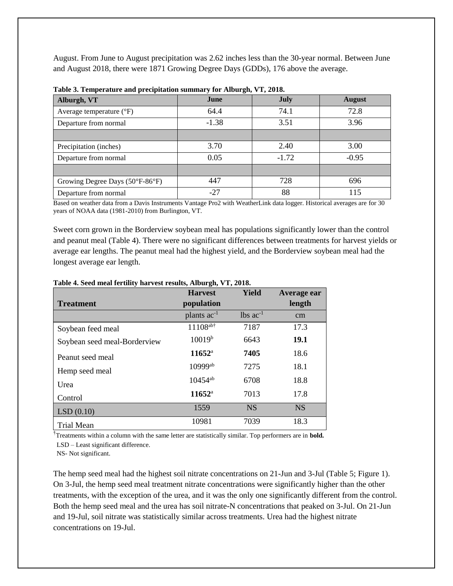August. From June to August precipitation was 2.62 inches less than the 30-year normal. Between June and August 2018, there were 1871 Growing Degree Days (GDDs), 176 above the average.

| Alburgh, VT                         | June    | <b>July</b> | <b>August</b> |
|-------------------------------------|---------|-------------|---------------|
| Average temperature $({}^{\circ}F)$ | 64.4    | 74.1        | 72.8          |
| Departure from normal               | $-1.38$ | 3.51        | 3.96          |
|                                     |         |             |               |
| Precipitation (inches)              | 3.70    | 2.40        | 3.00          |
| Departure from normal               | 0.05    | $-1.72$     | $-0.95$       |
|                                     |         |             |               |
| Growing Degree Days (50°F-86°F)     | 447     | 728         | 696           |
| Departure from normal               | -27     | 88          | 115           |

| Table 3. Temperature and precipitation summary for Alburgh, VT, 2018. |  |  |  |  |  |  |
|-----------------------------------------------------------------------|--|--|--|--|--|--|
|-----------------------------------------------------------------------|--|--|--|--|--|--|

Based on weather data from a Davis Instruments Vantage Pro2 with WeatherLink data logger. Historical averages are for 30 years of NOAA data (1981-2010) from Burlington, VT.

Sweet corn grown in the Borderview soybean meal has populations significantly lower than the control and peanut meal (Table 4). There were no significant differences between treatments for harvest yields or average ear lengths. The peanut meal had the highest yield, and the Borderview soybean meal had the longest average ear length.

|                              | <b>Harvest</b>     | Yield                  | Average ear |
|------------------------------|--------------------|------------------------|-------------|
| <b>Treatment</b>             | population         |                        | length      |
|                              | plants $ac^{-1}$   | $lbs$ ac <sup>-1</sup> | cm          |
| Soybean feed meal            | $11108$ ab†        | 7187                   | 17.3        |
| Soybean seed meal-Borderview | 10019 <sup>b</sup> | 6643                   | 19.1        |
| Peanut seed meal             | $11652^{\rm a}$    | 7405                   | 18.6        |
| Hemp seed meal               | 10999ab            | 7275                   | 18.1        |
| Urea                         | $10454^{ab}$       | 6708                   | 18.8        |
| Control                      | $11652^{\rm a}$    | 7013                   | 17.8        |
| LSD(0.10)                    | 1559               | <b>NS</b>              | <b>NS</b>   |
| <b>Trial Mean</b>            | 10981              | 7039                   | 18.3        |

#### **Table 4. Seed meal fertility harvest results, Alburgh, VT, 2018.**

†Treatments within a column with the same letter are statistically similar. Top performers are in **bold.** LSD – Least significant difference.

NS- Not significant.

The hemp seed meal had the highest soil nitrate concentrations on 21-Jun and 3-Jul (Table 5; Figure 1). On 3-Jul, the hemp seed meal treatment nitrate concentrations were significantly higher than the other treatments, with the exception of the urea, and it was the only one significantly different from the control. Both the hemp seed meal and the urea has soil nitrate-N concentrations that peaked on 3-Jul. On 21-Jun and 19-Jul, soil nitrate was statistically similar across treatments. Urea had the highest nitrate concentrations on 19-Jul.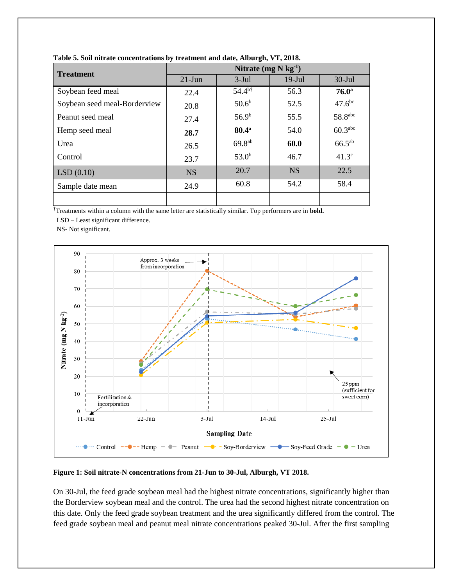| <b>Treatment</b>             | Nitrate $(mg N kg-1)$ |                   |           |                       |  |
|------------------------------|-----------------------|-------------------|-----------|-----------------------|--|
|                              | $21$ -Jun             | $3-Jul$           | $19$ -Jul | $30$ -Jul             |  |
| Soybean feed meal            | 22.4                  | $54.4^{b\dagger}$ | 56.3      | 76.0 <sup>a</sup>     |  |
| Soybean seed meal-Borderview | 20.8                  | 50.6 <sup>b</sup> | 52.5      | 47.6 <sup>bc</sup>    |  |
| Peanut seed meal             | 27.4                  | 56.9 <sup>b</sup> | 55.5      | $58.8$ <sup>abc</sup> |  |
| Hemp seed meal               | 28.7                  | $80.4^{\rm a}$    | 54.0      | 60.3 <sup>abc</sup>   |  |
| Urea                         | 26.5                  | $69.8^{ab}$       | 60.0      | $66.5^{ab}$           |  |
| Control                      | 23.7                  | $53.0^{b}$        | 46.7      | 41.3 <sup>c</sup>     |  |
| LSD(0.10)                    | <b>NS</b>             | 20.7              | <b>NS</b> | 22.5                  |  |
| Sample date mean             | 24.9                  | 60.8              | 54.2      | 58.4                  |  |
|                              |                       |                   |           |                       |  |

**Table 5. Soil nitrate concentrations by treatment and date, Alburgh, VT, 2018.** 

†Treatments within a column with the same letter are statistically similar. Top performers are in **bold.**

LSD – Least significant difference.

NS- Not significant.



**Figure 1: Soil nitrate-N concentrations from 21-Jun to 30-Jul, Alburgh, VT 2018.**

On 30-Jul, the feed grade soybean meal had the highest nitrate concentrations, significantly higher than the Borderview soybean meal and the control. The urea had the second highest nitrate concentration on this date. Only the feed grade soybean treatment and the urea significantly differed from the control. The feed grade soybean meal and peanut meal nitrate concentrations peaked 30-Jul. After the first sampling